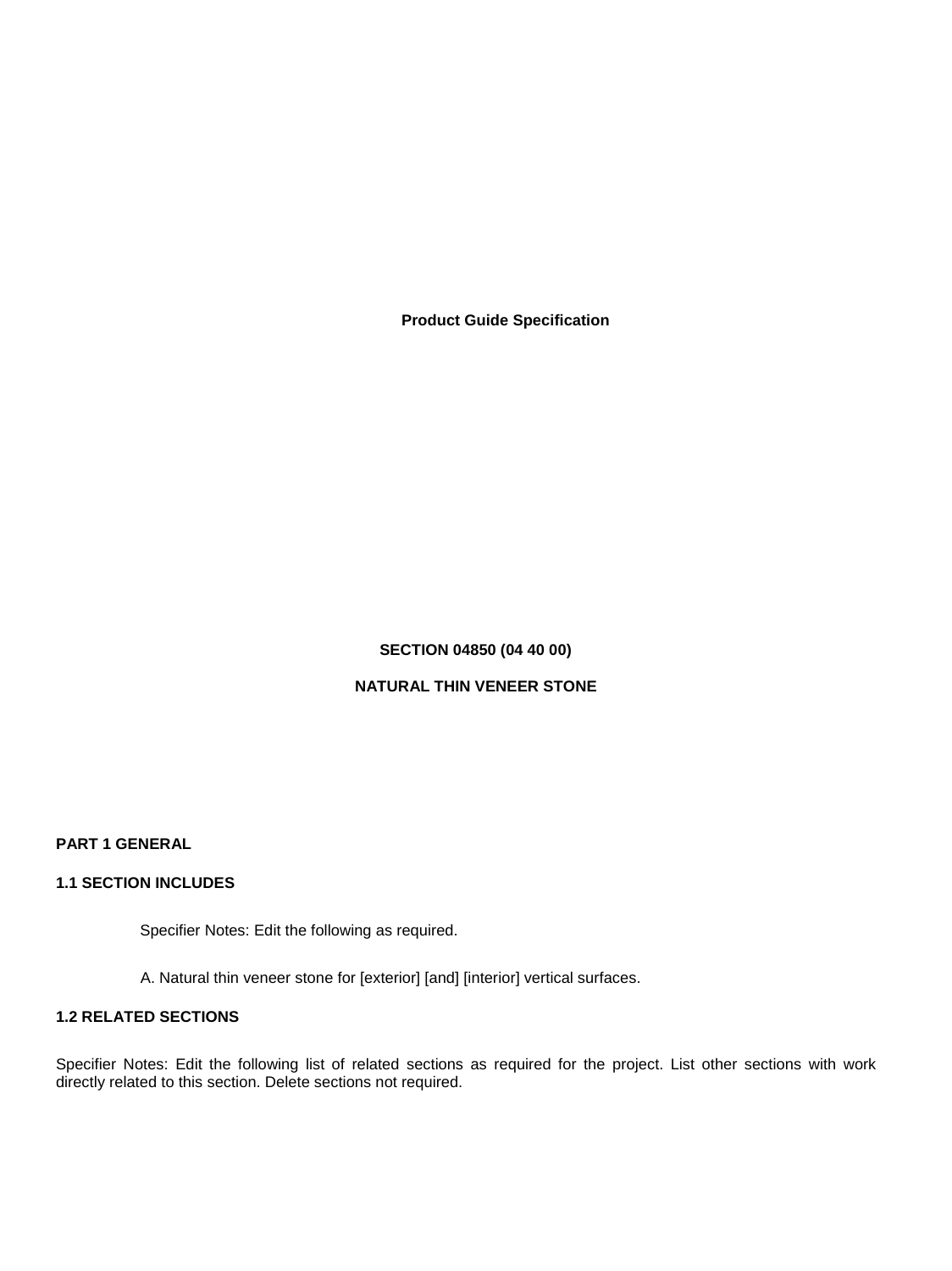**Product Guide Specification** 

# **SECTION 04850 (04 40 00)**

## **NATURAL THIN VENEER STONE**

**PART 1 GENERAL** 

#### **1.1 SECTION INCLUDES**

Specifier Notes: Edit the following as required.

A. Natural thin veneer stone for [exterior] [and] [interior] vertical surfaces.

## **1.2 RELATED SECTIONS**

Specifier Notes: Edit the following list of related sections as required for the project. List other sections with work directly related to this section. Delete sections not required.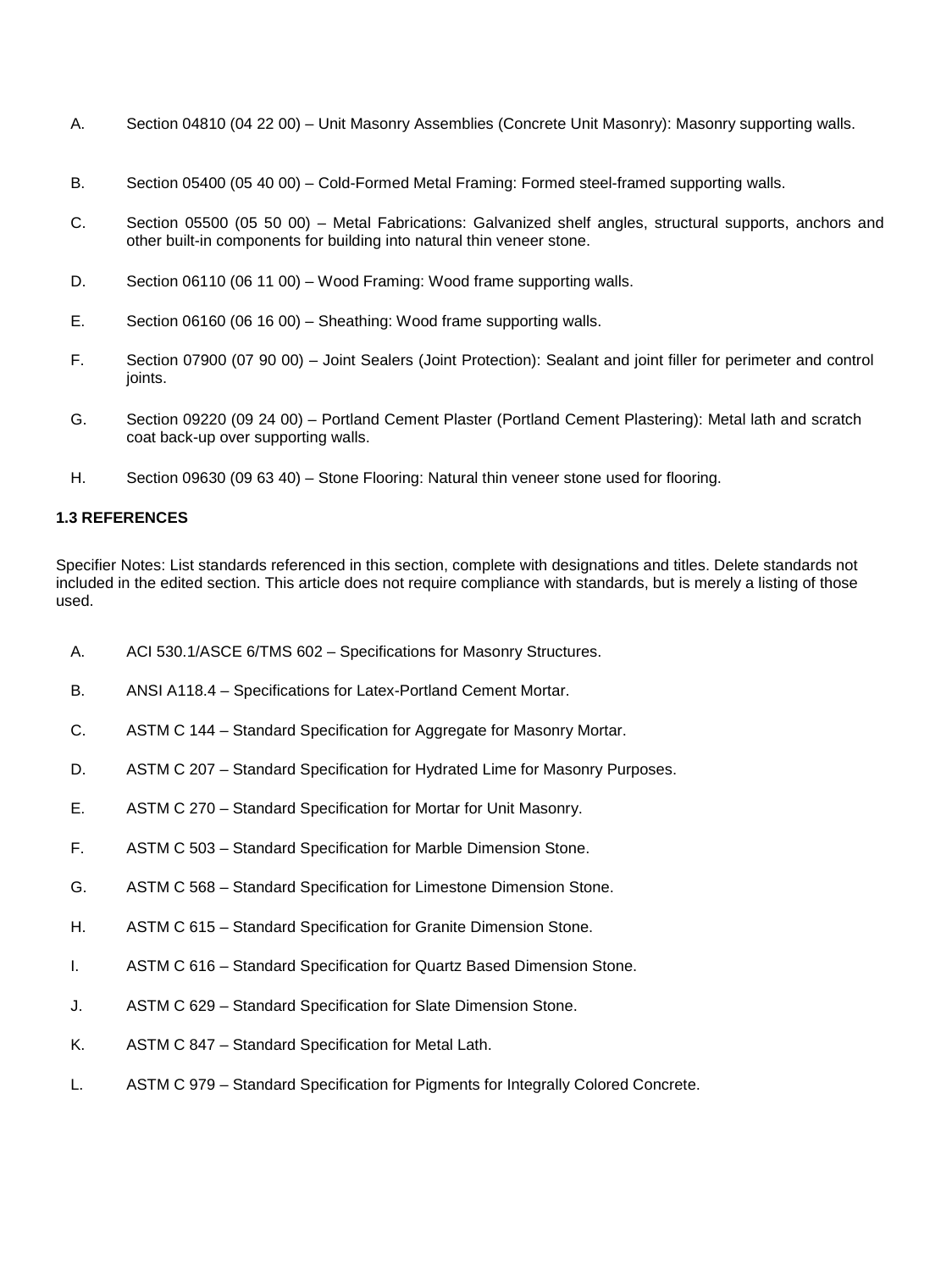- A. Section 04810 (04 22 00) Unit Masonry Assemblies (Concrete Unit Masonry): Masonry supporting walls.
- B. Section 05400 (05 40 00) Cold-Formed Metal Framing: Formed steel-framed supporting walls.
- C. Section 05500 (05 50 00) Metal Fabrications: Galvanized shelf angles, structural supports, anchors and other built-in components for building into natural thin veneer stone.
- D. Section 06110 (06 11 00) Wood Framing: Wood frame supporting walls.
- E. Section 06160 (06 16 00) Sheathing: Wood frame supporting walls.
- F. Section 07900 (07 90 00) Joint Sealers (Joint Protection): Sealant and joint filler for perimeter and control joints.
- G. Section 09220 (09 24 00) Portland Cement Plaster (Portland Cement Plastering): Metal lath and scratch coat back-up over supporting walls.
- H. Section 09630 (09 63 40) Stone Flooring: Natural thin veneer stone used for flooring.

## **1.3 REFERENCES**

Specifier Notes: List standards referenced in this section, complete with designations and titles. Delete standards not included in the edited section. This article does not require compliance with standards, but is merely a listing of those used.

- A. ACI 530.1/ASCE 6/TMS 602 Specifications for Masonry Structures.
- B. ANSI A118.4 Specifications for Latex-Portland Cement Mortar.
- C. ASTM C 144 Standard Specification for Aggregate for Masonry Mortar.
- D. ASTM C 207 Standard Specification for Hydrated Lime for Masonry Purposes.
- E. ASTM C 270 Standard Specification for Mortar for Unit Masonry.
- F. ASTM C 503 Standard Specification for Marble Dimension Stone.
- G. ASTM C 568 Standard Specification for Limestone Dimension Stone.
- H. ASTM C 615 Standard Specification for Granite Dimension Stone.
- I. ASTM C 616 Standard Specification for Quartz Based Dimension Stone.
- J. ASTM C 629 Standard Specification for Slate Dimension Stone.
- K. ASTM C 847 Standard Specification for Metal Lath.
- L. ASTM C 979 Standard Specification for Pigments for Integrally Colored Concrete.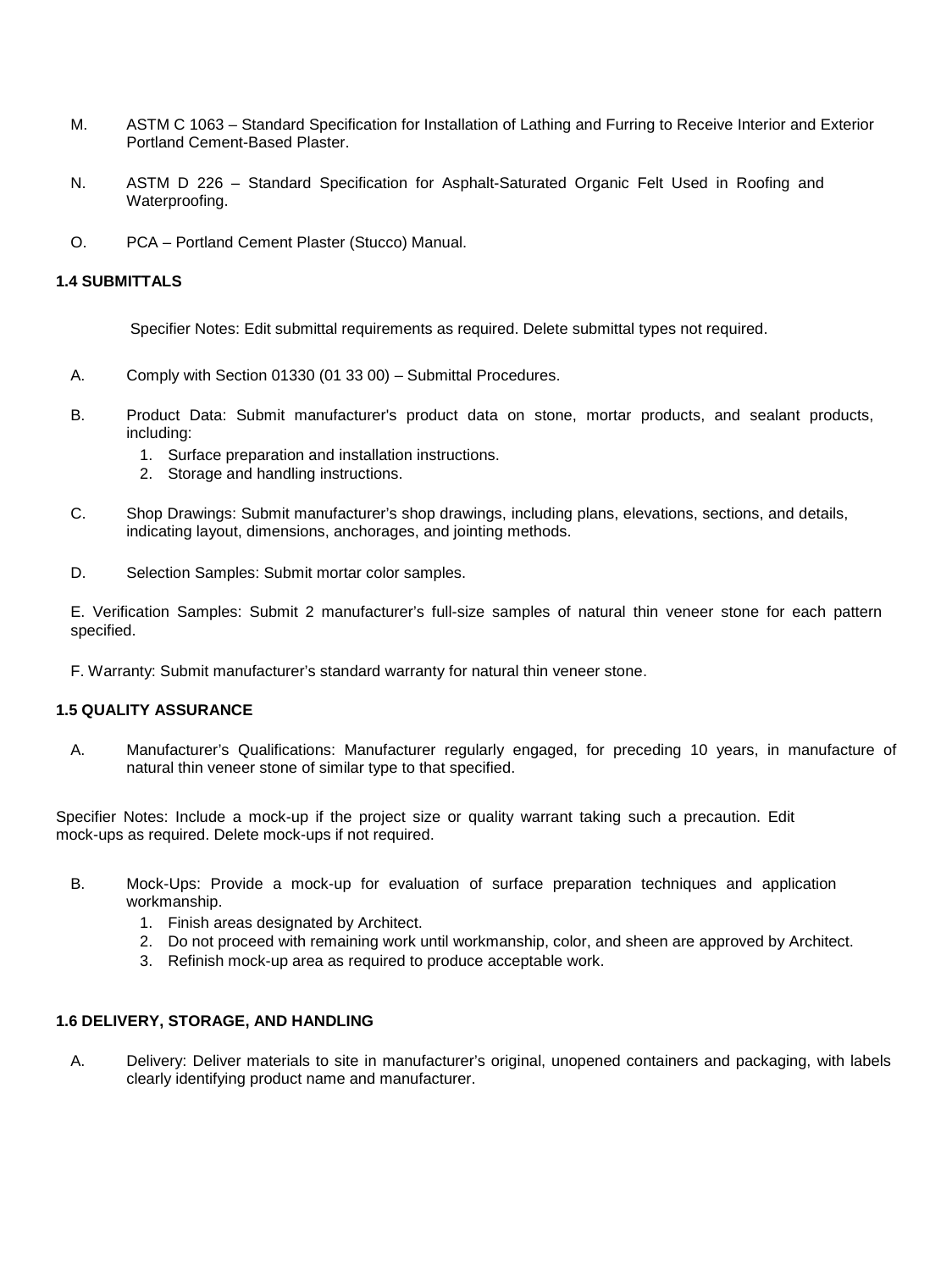- M. ASTM C 1063 Standard Specification for Installation of Lathing and Furring to Receive Interior and Exterior Portland Cement-Based Plaster.
- N. ASTM D 226 Standard Specification for Asphalt-Saturated Organic Felt Used in Roofing and Waterproofing.
- O. PCA Portland Cement Plaster (Stucco) Manual.

### **1.4 SUBMITTALS**

Specifier Notes: Edit submittal requirements as required. Delete submittal types not required.

- A. Comply with Section 01330 (01 33 00) Submittal Procedures.
- B. Product Data: Submit manufacturer's product data on stone, mortar products, and sealant products, including:
	- 1. Surface preparation and installation instructions.
	- 2. Storage and handling instructions.
- C. Shop Drawings: Submit manufacturer's shop drawings, including plans, elevations, sections, and details, indicating layout, dimensions, anchorages, and jointing methods.
- D. Selection Samples: Submit mortar color samples.

E. Verification Samples: Submit 2 manufacturer's full-size samples of natural thin veneer stone for each pattern specified.

F. Warranty: Submit manufacturer's standard warranty for natural thin veneer stone.

#### **1.5 QUALITY ASSURANCE**

A. Manufacturer's Qualifications: Manufacturer regularly engaged, for preceding 10 years, in manufacture of natural thin veneer stone of similar type to that specified.

Specifier Notes: Include a mock-up if the project size or quality warrant taking such a precaution. Edit mock-ups as required. Delete mock-ups if not required.

- B. Mock-Ups: Provide a mock-up for evaluation of surface preparation techniques and application workmanship.
	- 1. Finish areas designated by Architect.
	- 2. Do not proceed with remaining work until workmanship, color, and sheen are approved by Architect.
	- 3. Refinish mock-up area as required to produce acceptable work.

#### **1.6 DELIVERY, STORAGE, AND HANDLING**

A. Delivery: Deliver materials to site in manufacturer's original, unopened containers and packaging, with labels clearly identifying product name and manufacturer.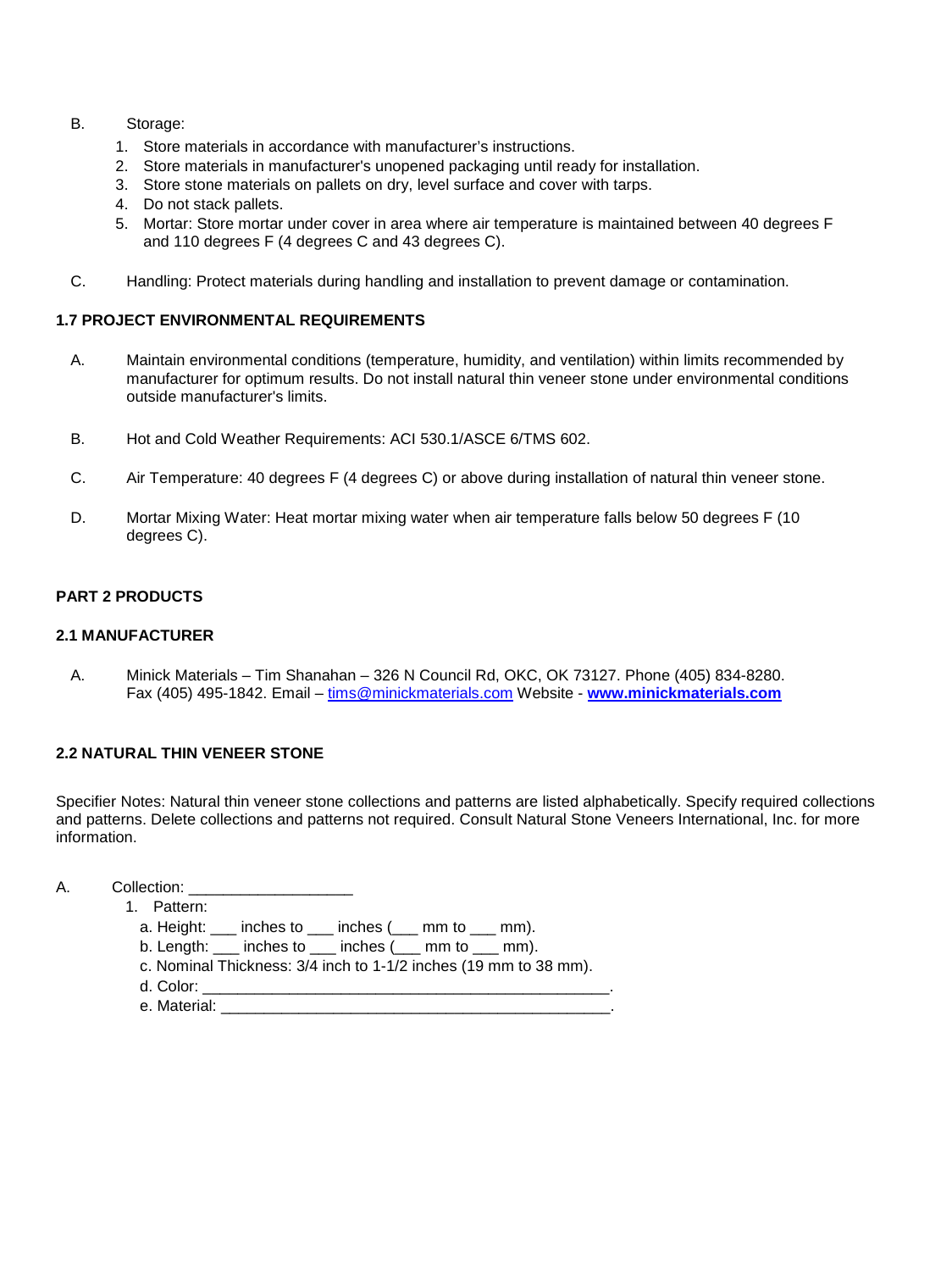- B. Storage:
	- 1. Store materials in accordance with manufacturer's instructions.
	- 2. Store materials in manufacturer's unopened packaging until ready for installation.
	- 3. Store stone materials on pallets on dry, level surface and cover with tarps.
	- 4. Do not stack pallets.
	- 5. Mortar: Store mortar under cover in area where air temperature is maintained between 40 degrees F and 110 degrees F (4 degrees C and 43 degrees C).
- C. Handling: Protect materials during handling and installation to prevent damage or contamination.

## **1.7 PROJECT ENVIRONMENTAL REQUIREMENTS**

- A. Maintain environmental conditions (temperature, humidity, and ventilation) within limits recommended by manufacturer for optimum results. Do not install natural thin veneer stone under environmental conditions outside manufacturer's limits.
- B. Hot and Cold Weather Requirements: ACI 530.1/ASCE 6/TMS 602.
- C. Air Temperature: 40 degrees F (4 degrees C) or above during installation of natural thin veneer stone.
- D. Mortar Mixing Water: Heat mortar mixing water when air temperature falls below 50 degrees F (10 degrees C).

## **PART 2 PRODUCTS**

#### **2.1 MANUFACTURER**

A. Minick Materials – Tim Shanahan – 326 N Council Rd, OKC, OK 73127. Phone (405) 834-8280. Fax (405) 495-1842. Email – [tims@minickmaterials.com](mailto:tims@minickmaterials.com) Website - **[www.minickmaterials.com](http://www.minickmaterials.com/)**

## **2.2 NATURAL THIN VENEER STONE**

Specifier Notes: Natural thin veneer stone collections and patterns are listed alphabetically. Specify required collections and patterns. Delete collections and patterns not required. Consult Natural Stone Veneers International, Inc. for more information.

- A. Collection: \_\_\_\_\_\_\_\_\_\_\_\_\_\_\_\_\_\_\_
	- 1. Pattern:
		- a. Height:  $\frac{1}{2}$  inches to  $\frac{1}{2}$  inches  $\frac{1}{2}$  mm to  $\frac{1}{2}$  mm).
		- b. Length: \_\_\_ inches to \_\_\_ inches (\_\_\_ mm to \_\_\_ mm).
		- c. Nominal Thickness: 3/4 inch to 1-1/2 inches (19 mm to 38 mm).
		- d. Color: \_\_\_\_\_\_\_\_\_\_\_\_\_\_\_\_\_\_\_\_\_\_\_\_\_\_\_\_\_\_\_\_\_\_\_\_\_\_\_\_\_\_\_\_\_\_\_.
		- e. Material: \_\_\_\_\_\_\_\_\_\_\_\_\_\_\_\_\_\_\_\_\_\_\_\_\_\_\_\_\_\_\_\_\_\_\_\_\_\_\_\_\_\_\_\_\_.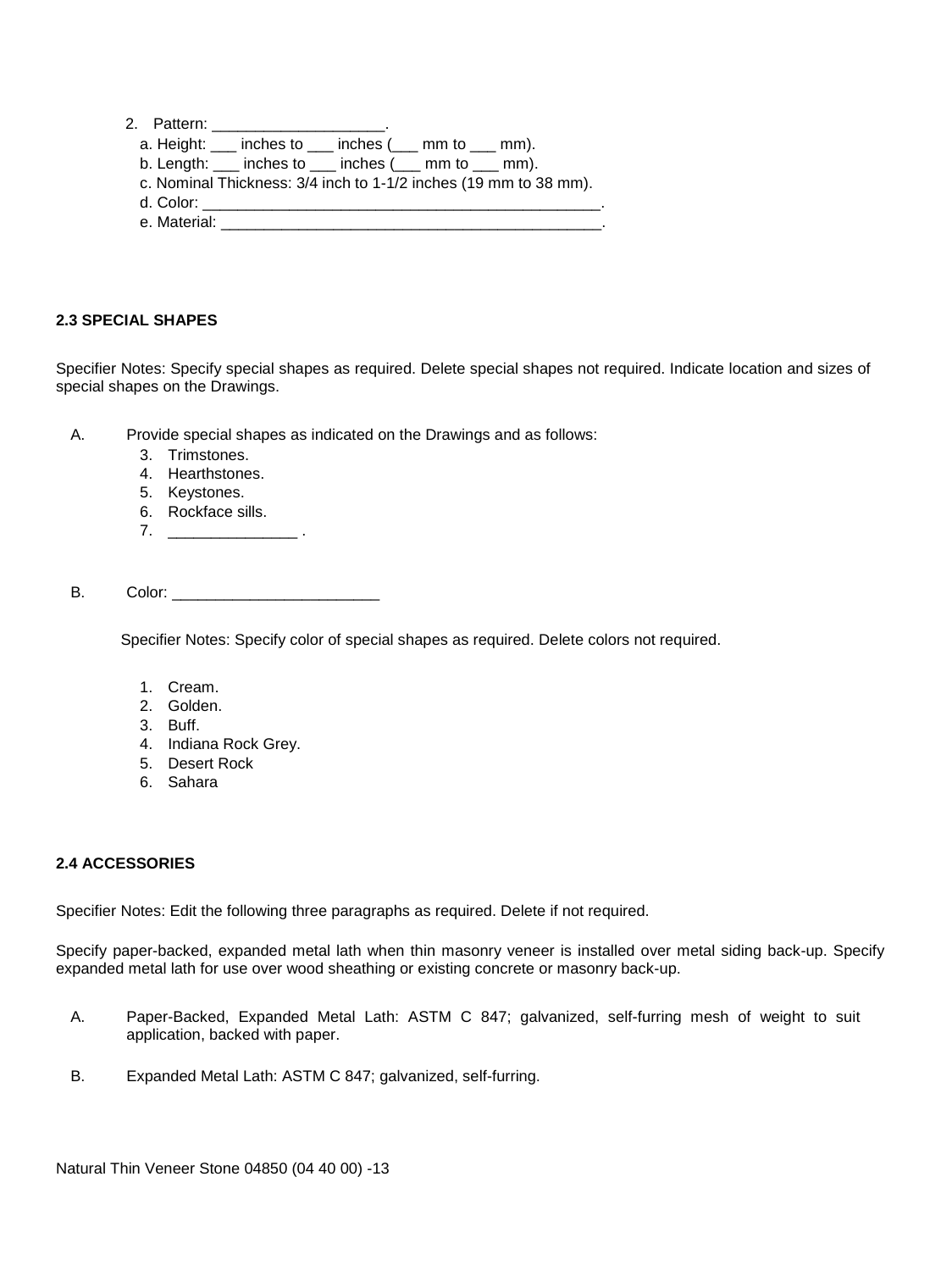- a. Height: \_\_\_ inches to \_\_\_ inches (\_\_\_ mm to \_\_\_ mm).
- b. Length: \_\_\_ inches to \_\_\_ inches (\_\_\_ mm to \_\_\_ mm).
- c. Nominal Thickness: 3/4 inch to 1-1/2 inches (19 mm to 38 mm).
- d. Color: \_\_\_\_\_\_\_\_\_\_\_\_\_\_\_\_\_\_\_\_\_\_\_\_\_\_\_\_\_\_\_\_\_\_\_\_\_\_\_\_\_\_\_\_\_\_.
- e. Material: \_\_\_\_\_\_\_\_\_\_\_\_\_\_\_\_\_\_\_\_\_\_\_\_\_\_\_\_\_\_\_\_\_\_\_\_\_\_\_\_\_\_\_\_.

## **2.3 SPECIAL SHAPES**

Specifier Notes: Specify special shapes as required. Delete special shapes not required. Indicate location and sizes of special shapes on the Drawings.

A. Provide special shapes as indicated on the Drawings and as follows:

- 3. Trimstones.
- 4. Hearthstones.
- 5. Keystones.
- 6. Rockface sills.
- 7. \_\_\_\_\_\_\_\_\_\_\_\_\_\_\_\_\_\_\_\_\_\_\_\_ .

B. Color:

Specifier Notes: Specify color of special shapes as required. Delete colors not required.

- 1. Cream.
- 2. Golden.
- 3. Buff.
- 4. Indiana Rock Grey.
- 5. Desert Rock
- 6. Sahara

#### **2.4 ACCESSORIES**

Specifier Notes: Edit the following three paragraphs as required. Delete if not required.

Specify paper-backed, expanded metal lath when thin masonry veneer is installed over metal siding back-up. Specify expanded metal lath for use over wood sheathing or existing concrete or masonry back-up.

- A. Paper-Backed, Expanded Metal Lath: ASTM C 847; galvanized, self-furring mesh of weight to suit application, backed with paper.
- B. Expanded Metal Lath: ASTM C 847; galvanized, self-furring.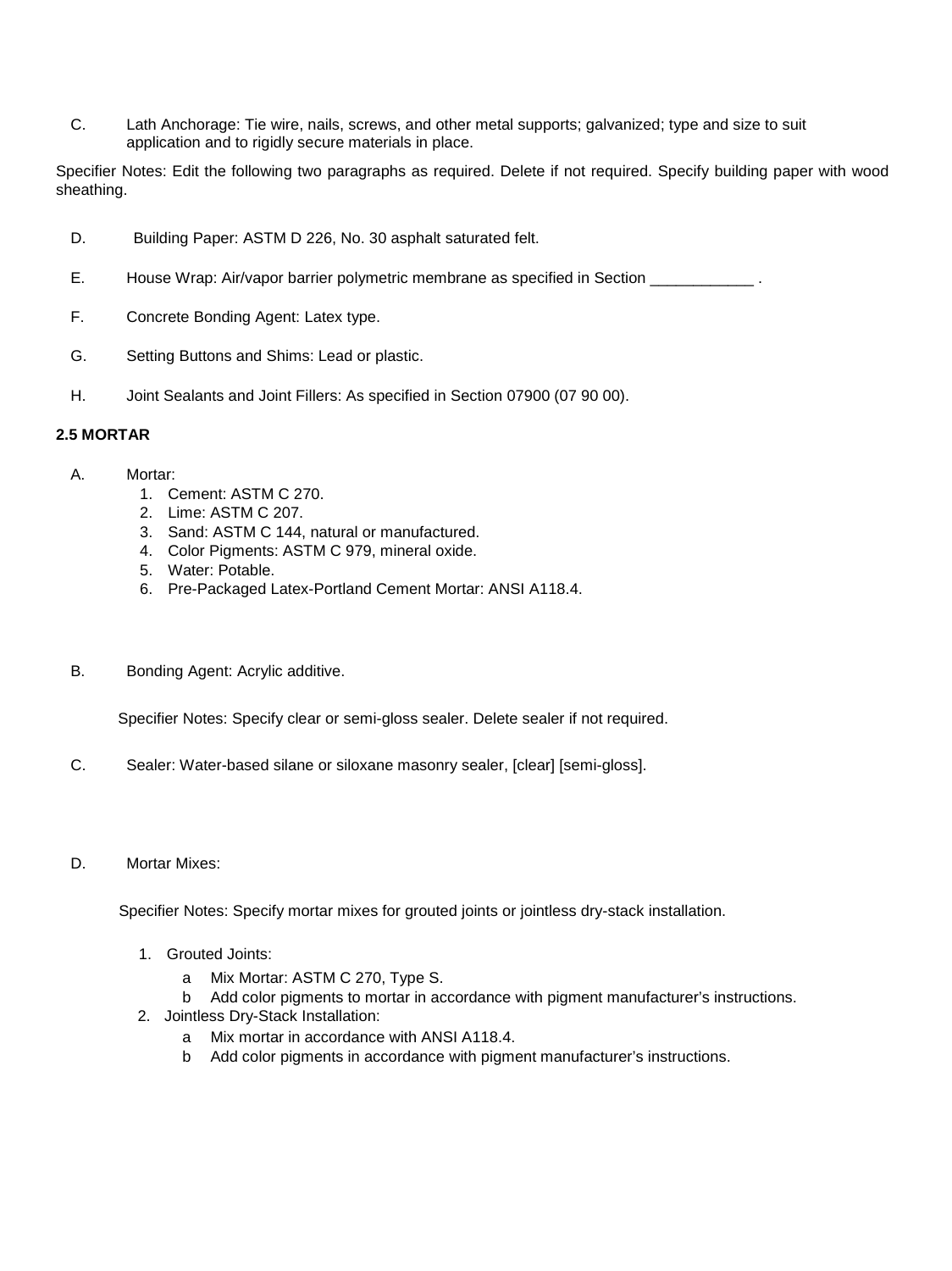C. Lath Anchorage: Tie wire, nails, screws, and other metal supports; galvanized; type and size to suit application and to rigidly secure materials in place.

Specifier Notes: Edit the following two paragraphs as required. Delete if not required. Specify building paper with wood sheathing.

- D. Building Paper: ASTM D 226, No. 30 asphalt saturated felt.
- E. House Wrap: Air/vapor barrier polymetric membrane as specified in Section \_\_\_\_\_\_\_\_\_\_\_\_\_.
- F. Concrete Bonding Agent: Latex type.
- G. Setting Buttons and Shims: Lead or plastic.
- H. Joint Sealants and Joint Fillers: As specified in Section 07900 (07 90 00).

#### **2.5 MORTAR**

- A. Mortar:
	- 1. Cement: ASTM C 270.
	- 2. Lime: ASTM C 207.
	- 3. Sand: ASTM C 144, natural or manufactured.
	- 4. Color Pigments: ASTM C 979, mineral oxide.
	- 5. Water: Potable.
	- 6. Pre-Packaged Latex-Portland Cement Mortar: ANSI A118.4.
- B. Bonding Agent: Acrylic additive.

Specifier Notes: Specify clear or semi-gloss sealer. Delete sealer if not required.

- C. Sealer: Water-based silane or siloxane masonry sealer, [clear] [semi-gloss].
- D. Mortar Mixes:

Specifier Notes: Specify mortar mixes for grouted joints or jointless dry-stack installation.

- 1. Grouted Joints:
	- a Mix Mortar: ASTM C 270, Type S.
	- b Add color pigments to mortar in accordance with pigment manufacturer's instructions.
- 2. Jointless Dry-Stack Installation:
	- a Mix mortar in accordance with ANSI A118.4.
	- b Add color pigments in accordance with pigment manufacturer's instructions.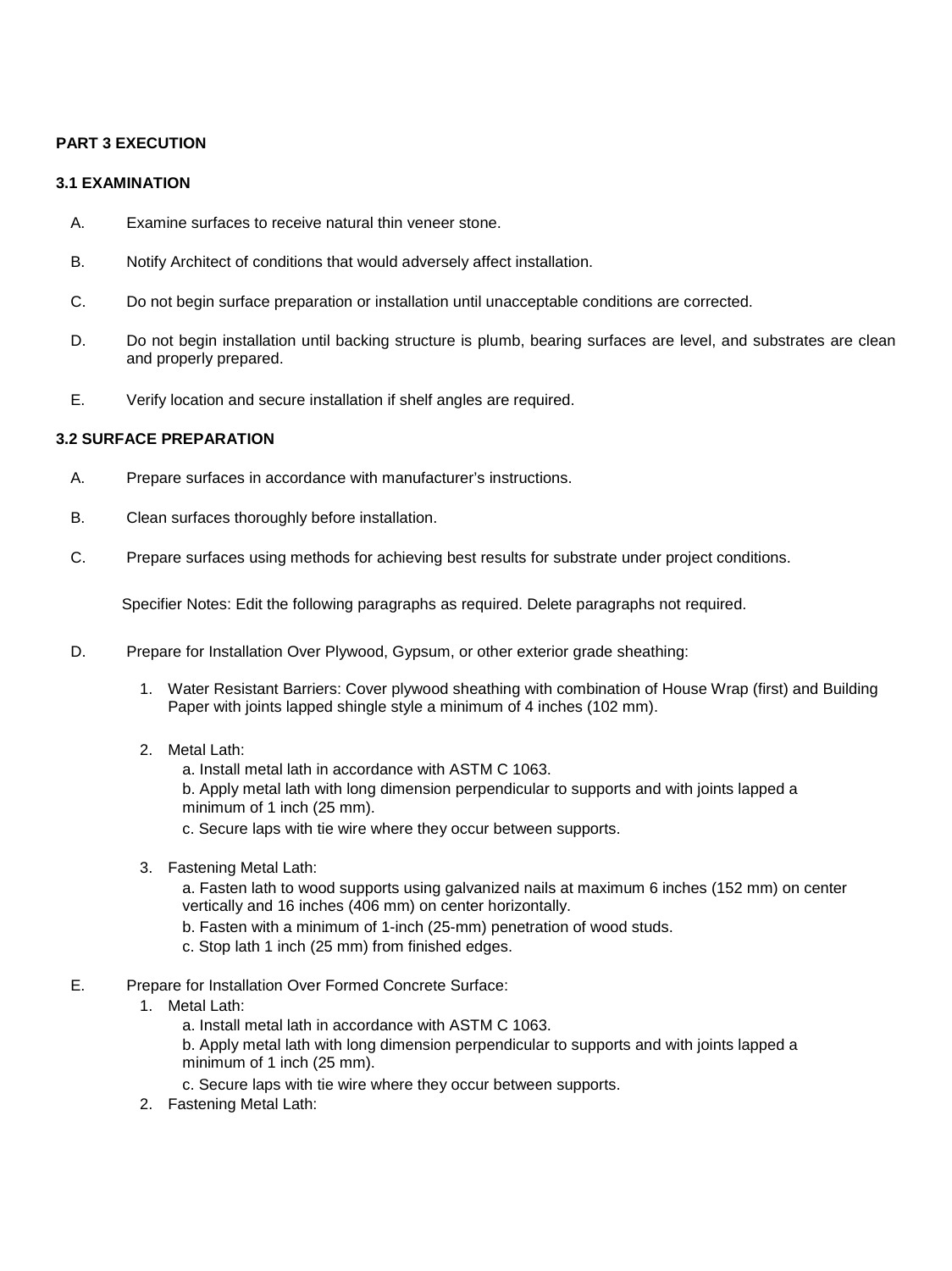## **PART 3 EXECUTION**

### **3.1 EXAMINATION**

- A. Examine surfaces to receive natural thin veneer stone.
- B. Notify Architect of conditions that would adversely affect installation.
- C. Do not begin surface preparation or installation until unacceptable conditions are corrected.
- D. Do not begin installation until backing structure is plumb, bearing surfaces are level, and substrates are clean and properly prepared.
- E. Verify location and secure installation if shelf angles are required.

## **3.2 SURFACE PREPARATION**

- A. Prepare surfaces in accordance with manufacturer's instructions.
- B. Clean surfaces thoroughly before installation.
- C. Prepare surfaces using methods for achieving best results for substrate under project conditions.

Specifier Notes: Edit the following paragraphs as required. Delete paragraphs not required.

- D. Prepare for Installation Over Plywood, Gypsum, or other exterior grade sheathing:
	- 1. Water Resistant Barriers: Cover plywood sheathing with combination of House Wrap (first) and Building Paper with joints lapped shingle style a minimum of 4 inches (102 mm).
	- 2. Metal Lath:
		- a. Install metal lath in accordance with ASTM C 1063.

b. Apply metal lath with long dimension perpendicular to supports and with joints lapped a minimum of 1 inch (25 mm).

c. Secure laps with tie wire where they occur between supports.

3. Fastening Metal Lath:

a. Fasten lath to wood supports using galvanized nails at maximum 6 inches (152 mm) on center vertically and 16 inches (406 mm) on center horizontally.

- b. Fasten with a minimum of 1-inch (25-mm) penetration of wood studs.
- c. Stop lath 1 inch (25 mm) from finished edges.
- E. Prepare for Installation Over Formed Concrete Surface:
	- 1. Metal Lath:
		- a. Install metal lath in accordance with ASTM C 1063.

b. Apply metal lath with long dimension perpendicular to supports and with joints lapped a minimum of 1 inch (25 mm).

- c. Secure laps with tie wire where they occur between supports.
- 2. Fastening Metal Lath: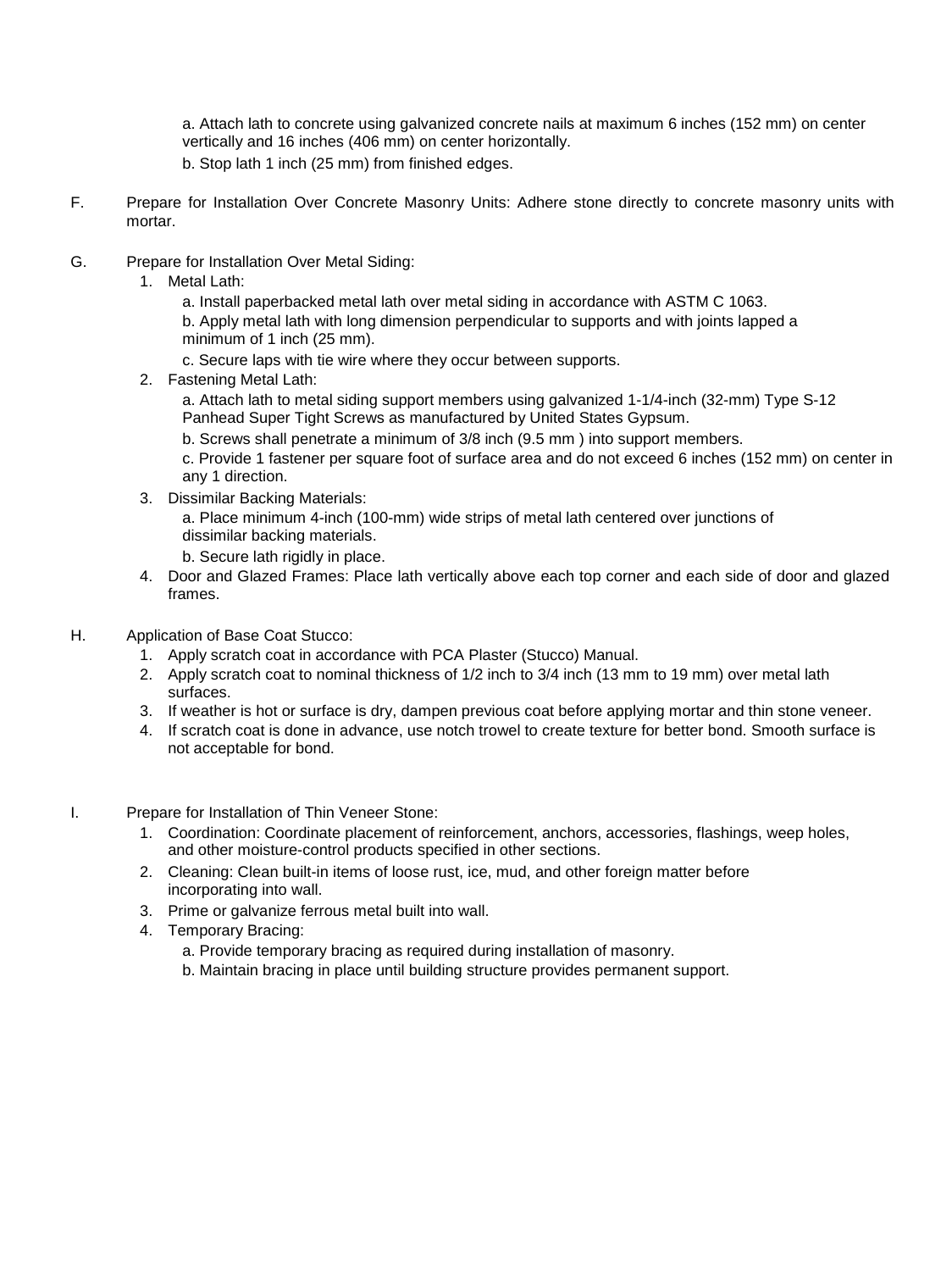a. Attach lath to concrete using galvanized concrete nails at maximum 6 inches (152 mm) on center vertically and 16 inches (406 mm) on center horizontally.

- b. Stop lath 1 inch (25 mm) from finished edges.
- F. Prepare for Installation Over Concrete Masonry Units: Adhere stone directly to concrete masonry units with mortar.
- G. Prepare for Installation Over Metal Siding:
	- 1. Metal Lath:

a. Install paperbacked metal lath over metal siding in accordance with ASTM C 1063. b. Apply metal lath with long dimension perpendicular to supports and with joints lapped a minimum of 1 inch (25 mm).

- c. Secure laps with tie wire where they occur between supports.
- 2. Fastening Metal Lath:

a. Attach lath to metal siding support members using galvanized 1-1/4-inch (32-mm) Type S-12 Panhead Super Tight Screws as manufactured by United States Gypsum.

b. Screws shall penetrate a minimum of 3/8 inch (9.5 mm ) into support members.

c. Provide 1 fastener per square foot of surface area and do not exceed 6 inches (152 mm) on center in any 1 direction.

3. Dissimilar Backing Materials:

a. Place minimum 4-inch (100-mm) wide strips of metal lath centered over junctions of dissimilar backing materials.

- b. Secure lath rigidly in place.
- 4. Door and Glazed Frames: Place lath vertically above each top corner and each side of door and glazed frames.
- H. Application of Base Coat Stucco:
	- 1. Apply scratch coat in accordance with PCA Plaster (Stucco) Manual.
	- 2. Apply scratch coat to nominal thickness of 1/2 inch to 3/4 inch (13 mm to 19 mm) over metal lath surfaces.
	- 3. If weather is hot or surface is dry, dampen previous coat before applying mortar and thin stone veneer.
	- 4. If scratch coat is done in advance, use notch trowel to create texture for better bond. Smooth surface is not acceptable for bond.
- I. Prepare for Installation of Thin Veneer Stone:
	- 1. Coordination: Coordinate placement of reinforcement, anchors, accessories, flashings, weep holes, and other moisture-control products specified in other sections.
	- 2. Cleaning: Clean built-in items of loose rust, ice, mud, and other foreign matter before incorporating into wall.
	- 3. Prime or galvanize ferrous metal built into wall.
	- 4. Temporary Bracing:
		- a. Provide temporary bracing as required during installation of masonry.
		- b. Maintain bracing in place until building structure provides permanent support.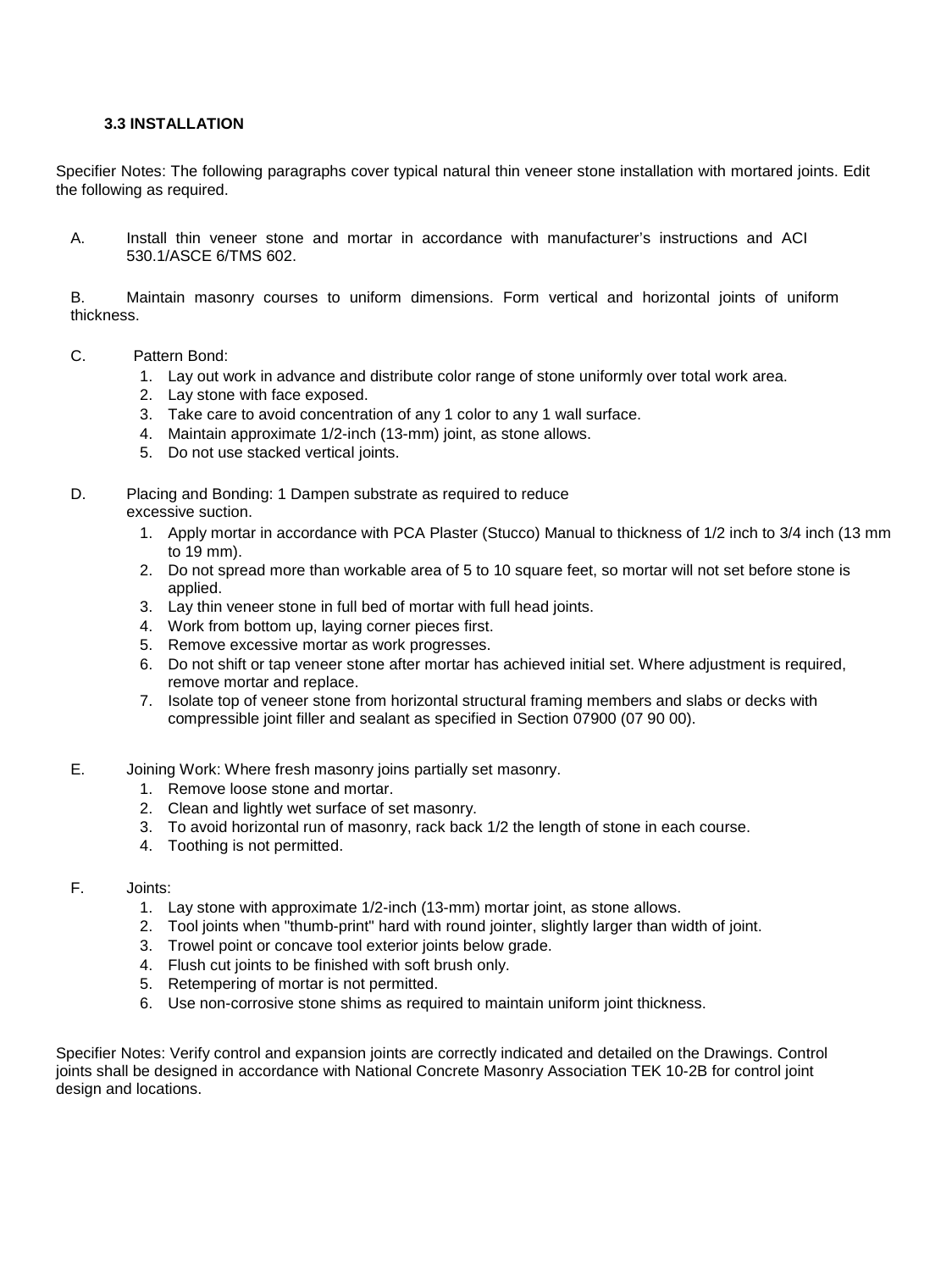#### **3.3 INSTALLATION**

Specifier Notes: The following paragraphs cover typical natural thin veneer stone installation with mortared joints. Edit the following as required.

A. Install thin veneer stone and mortar in accordance with manufacturer's instructions and ACI 530.1/ASCE 6/TMS 602.

B. Maintain masonry courses to uniform dimensions. Form vertical and horizontal joints of uniform thickness.

- C. Pattern Bond:
	- 1. Lay out work in advance and distribute color range of stone uniformly over total work area.
	- 2. Lay stone with face exposed.
	- 3. Take care to avoid concentration of any 1 color to any 1 wall surface.
	- 4. Maintain approximate 1/2-inch (13-mm) joint, as stone allows.
	- 5. Do not use stacked vertical joints.

#### D. Placing and Bonding: 1 Dampen substrate as required to reduce excessive suction.

- 1. Apply mortar in accordance with PCA Plaster (Stucco) Manual to thickness of 1/2 inch to 3/4 inch (13 mm to 19 mm).
- 2. Do not spread more than workable area of 5 to 10 square feet, so mortar will not set before stone is applied.
- 3. Lay thin veneer stone in full bed of mortar with full head joints.
- 4. Work from bottom up, laying corner pieces first.
- 5. Remove excessive mortar as work progresses.
- 6. Do not shift or tap veneer stone after mortar has achieved initial set. Where adjustment is required, remove mortar and replace.
- 7. Isolate top of veneer stone from horizontal structural framing members and slabs or decks with compressible joint filler and sealant as specified in Section 07900 (07 90 00).
- E. Joining Work: Where fresh masonry joins partially set masonry.
	- 1. Remove loose stone and mortar.
	- 2. Clean and lightly wet surface of set masonry.
	- 3. To avoid horizontal run of masonry, rack back 1/2 the length of stone in each course.
	- 4. Toothing is not permitted.
- F. Joints:
	- 1. Lay stone with approximate 1/2-inch (13-mm) mortar joint, as stone allows.
	- 2. Tool joints when "thumb-print" hard with round jointer, slightly larger than width of joint.
	- 3. Trowel point or concave tool exterior joints below grade.
	- 4. Flush cut joints to be finished with soft brush only.
	- 5. Retempering of mortar is not permitted.
	- 6. Use non-corrosive stone shims as required to maintain uniform joint thickness.

Specifier Notes: Verify control and expansion joints are correctly indicated and detailed on the Drawings. Control joints shall be designed in accordance with National Concrete Masonry Association TEK 10-2B for control joint design and locations.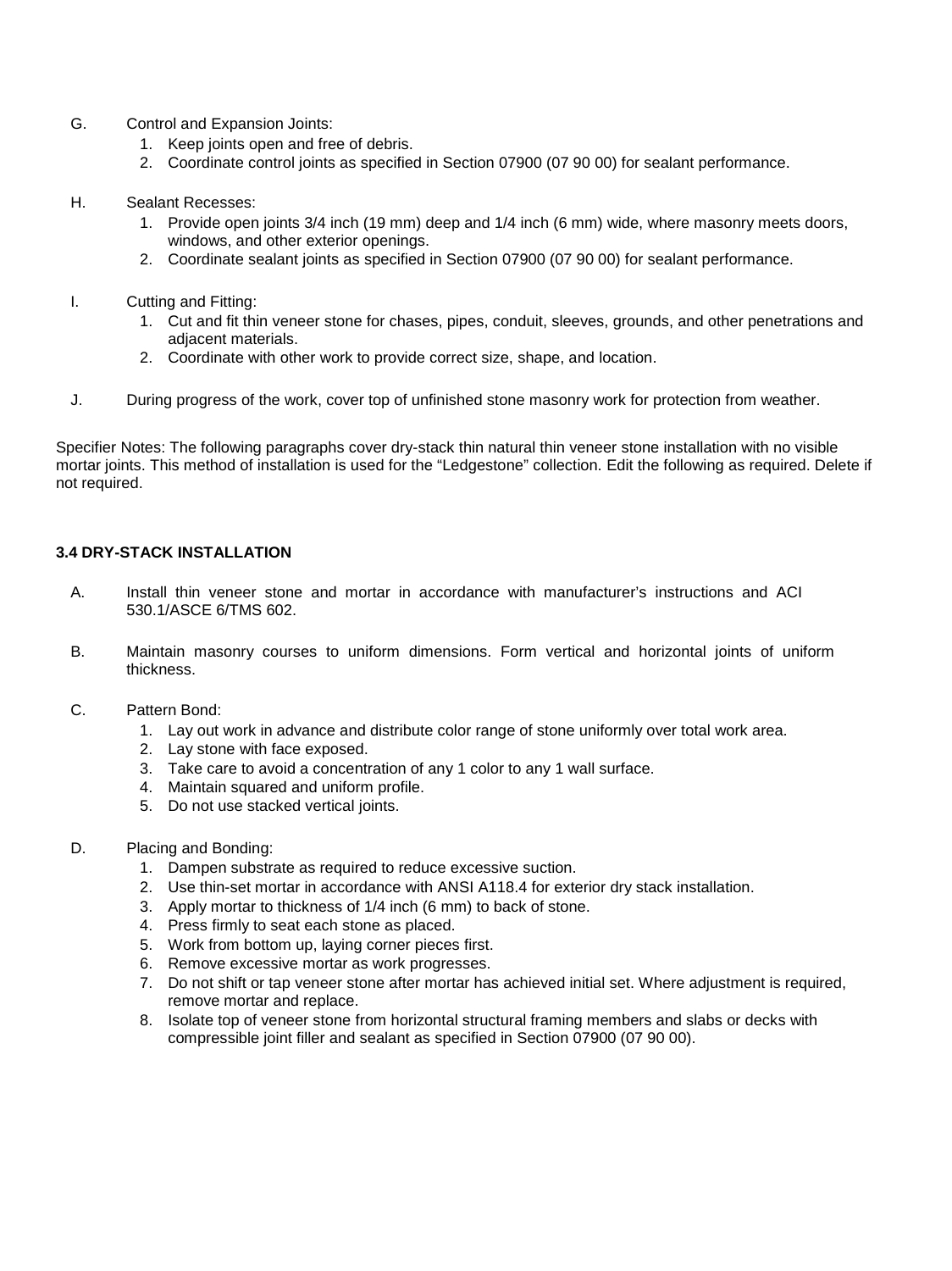- G. Control and Expansion Joints:
	- 1. Keep joints open and free of debris.
	- 2. Coordinate control joints as specified in Section 07900 (07 90 00) for sealant performance.
- H. Sealant Recesses:
	- 1. Provide open joints 3/4 inch (19 mm) deep and 1/4 inch (6 mm) wide, where masonry meets doors, windows, and other exterior openings.
	- 2. Coordinate sealant joints as specified in Section 07900 (07 90 00) for sealant performance.
- I. Cutting and Fitting:
	- 1. Cut and fit thin veneer stone for chases, pipes, conduit, sleeves, grounds, and other penetrations and adjacent materials.
	- 2. Coordinate with other work to provide correct size, shape, and location.
- J. During progress of the work, cover top of unfinished stone masonry work for protection from weather.

Specifier Notes: The following paragraphs cover dry-stack thin natural thin veneer stone installation with no visible mortar joints. This method of installation is used for the "Ledgestone" collection. Edit the following as required. Delete if not required.

## **3.4 DRY-STACK INSTALLATION**

- A. Install thin veneer stone and mortar in accordance with manufacturer's instructions and ACI 530.1/ASCE 6/TMS 602.
- B. Maintain masonry courses to uniform dimensions. Form vertical and horizontal joints of uniform thickness.
- C. Pattern Bond:
	- 1. Lay out work in advance and distribute color range of stone uniformly over total work area.
	- 2. Lay stone with face exposed.
	- 3. Take care to avoid a concentration of any 1 color to any 1 wall surface.
	- 4. Maintain squared and uniform profile.
	- 5. Do not use stacked vertical joints.
- D. Placing and Bonding:
	- 1. Dampen substrate as required to reduce excessive suction.
	- 2. Use thin-set mortar in accordance with ANSI A118.4 for exterior dry stack installation.
	- 3. Apply mortar to thickness of 1/4 inch (6 mm) to back of stone.
	- 4. Press firmly to seat each stone as placed.
	- 5. Work from bottom up, laying corner pieces first.
	- 6. Remove excessive mortar as work progresses.
	- 7. Do not shift or tap veneer stone after mortar has achieved initial set. Where adjustment is required, remove mortar and replace.
	- 8. Isolate top of veneer stone from horizontal structural framing members and slabs or decks with compressible joint filler and sealant as specified in Section 07900 (07 90 00).